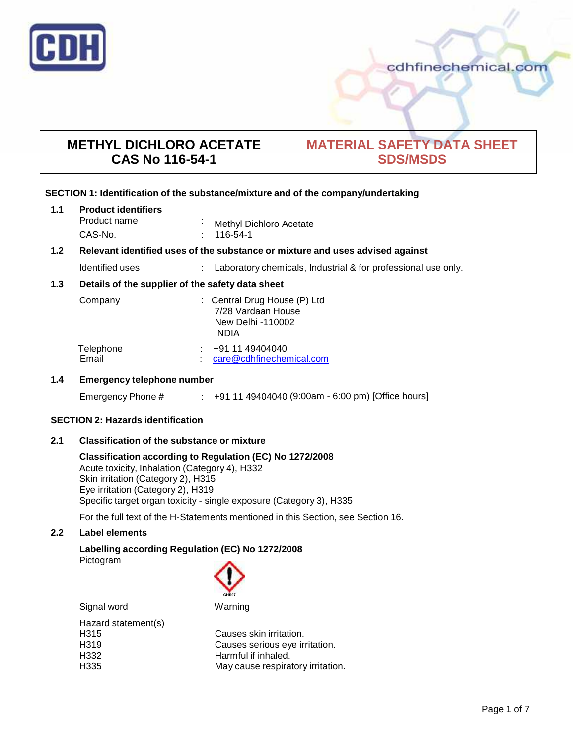

cdhfinechemical.com

# **METHYL DICHLORO ACETATE CAS No 116-54-1**

# **MATERIAL SAFETY DATA SHEET SDS/MSDS**

# **SECTION 1: Identification of the substance/mixture and of the company/undertaking**

| 1.1 | <b>Product identifiers</b> |                         |
|-----|----------------------------|-------------------------|
|     | Product name               | Methyl Dichloro Acetate |
|     | CAS-No.                    | $: 116-54-1$            |

# **1.2 Relevant identified uses of the substance ormixture and uses advised against**

Identified uses : Laboratory chemicals, Industrial & for professional use only.

# **1.3 Details of the supplier of the safety data sheet**

| Company            | : Central Drug House (P) Ltd<br>7/28 Vardaan House<br>New Delhi -110002<br><b>INDIA</b> |
|--------------------|-----------------------------------------------------------------------------------------|
| Telephone<br>Email | +91 11 49404040<br>care@cdhfinechemical.com                                             |

# **1.4 Emergency telephone number**

Emergency Phone # : +91 11 49404040 (9:00am - 6:00 pm) [Office hours]

# **SECTION 2: Hazards identification**

# **2.1 Classification of the substance ormixture**

**Classification according to Regulation (EC) No 1272/2008** Acute toxicity, Inhalation (Category 4), H332 Skin irritation (Category 2), H315 Eye irritation (Category 2), H319 Specific target organ toxicity - single exposure (Category 3), H335

For the full text of the H-Statements mentioned in this Section, see Section 16.

# **2.2 Label elements**

**Labelling according Regulation (EC) No 1272/2008** Pictogram

Signal word Warning

| Hazard statement(s) |  |
|---------------------|--|
| H <sub>315</sub>    |  |
| H <sub>319</sub>    |  |
| H332                |  |
| H <sub>335</sub>    |  |

Causes skin irritation. Causes serious eye irritation. Harmful if inhaled. May cause respiratory irritation.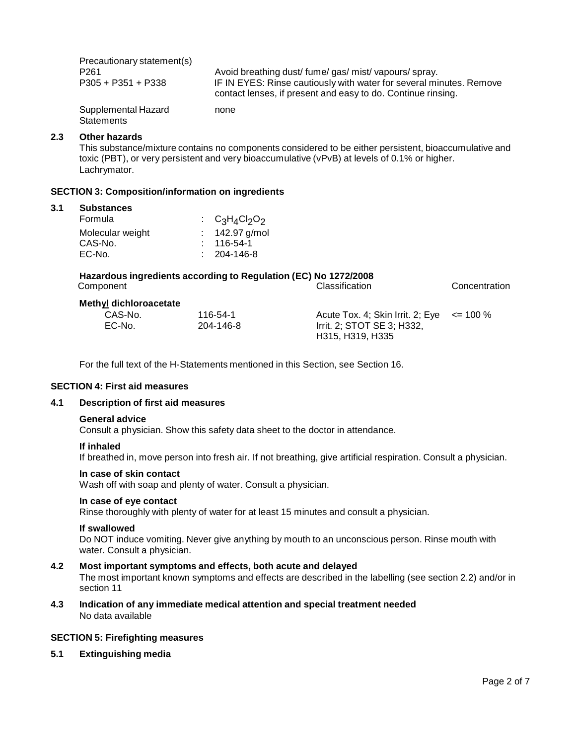Precautionary statement(s) P261 <br>
P305 + P351 + P338 **Avoid breathing dust/ fume/ gas/ mist/ vapours/ spray.**<br>
IF IN EYES: Rinse cautiously with water for several mi IF IN EYES: Rinse cautiously with water for several minutes. Remove contact lenses, if present and easy to do. Continue rinsing. Supplemental Hazard **Statements** none

#### **2.3 Other hazards**

This substance/mixture contains no components considered to be either persistent, bioaccumulative and toxic (PBT), or very persistent and very bioaccumulative (vPvB) at levels of 0.1% or higher.<br>Lachrymator.

#### **SECTION 3: Composition/information on ingredients**

#### **3.1 Substances**

| Formula          | : $C_3H_4Cl_2O_2$ |
|------------------|-------------------|
| Molecular weight | : $142.97$ g/mol  |
| CAS-No.          | $: 116-54-1$      |
| EC-No.           | $: 204 - 146 - 8$ |

| Hazardous ingredients according to Regulation (EC) No 1272/2008 |                       |               |  |
|-----------------------------------------------------------------|-----------------------|---------------|--|
| Component                                                       | <b>Classification</b> | Concentration |  |
|                                                                 |                       |               |  |

#### **Methyl dichloroacetate**

| CAS-No. | 116-54-1  | Acute Tox. 4; Skin Irrit. 2; Eye $\le$ = 100 % |  |
|---------|-----------|------------------------------------------------|--|
| EC-No.  | 204-146-8 | Irrit. 2; STOT SE 3; H332,                     |  |
|         |           | H315. H319. H335                               |  |

For the full text of the H-Statements mentioned in this Section, see Section 16.

#### **SECTION 4: First aid measures**

# **4.1 Description of first aid measures**

#### **General advice**

Consult a physician. Show this safety data sheet to the doctor in attendance.

#### **If inhaled**

If breathed in, move person into fresh air. If not breathing, give artificial respiration. Consult a physician.

#### **In case of skin contact**

Wash off with soap and plenty of water. Consult a physician.

# **In case of eye contact**

Rinse thoroughly with plenty of water for at least 15 minutes and consult a physician.

#### **If swallowed**

Do NOT induce vomiting. Never give anything by mouth to an unconscious person. Rinse mouth with water. Consult a physician.

### **4.2 Most important symptoms and effects, both acute and delayed**

The most important known symptoms and effects are described in the labelling (see section 2.2) and/or in section 11

**4.3 Indication of any immediate medical attention and special treatment needed** No data available

#### **SECTION 5: Firefighting measures**

**5.1 Extinguishing media**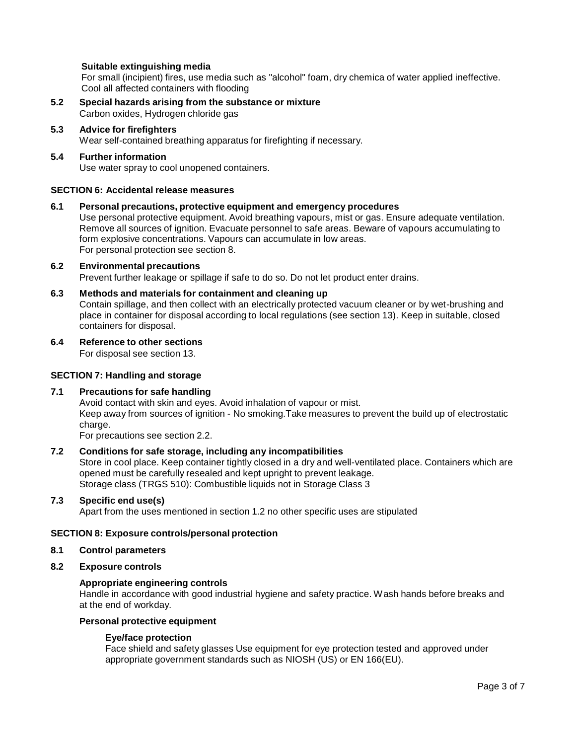# **Suitable extinguishing media**

For small (incipient) fires, use media such as "alcohol" foam, dry chemica of water applied ineffective. Cool all affected containers with flooding

- **5.2 Special hazards arising from the substance ormixture** Carbon oxides, Hydrogen chloride gas
- **5.3 Advice for firefighters**

Wear self-contained breathing apparatus for firefighting if necessary.

**5.4 Further information** Use water spray to cool unopened containers.

#### **SECTION 6: Accidental release measures**

#### **6.1 Personal precautions, protective equipment and emergency procedures**

Use personal protective equipment. Avoid breathing vapours, mist or gas. Ensure adequate ventilation. Remove all sources of ignition. Evacuate personnel to safe areas. Beware of vapours accumulating to form explosive concentrations. Vapours can accumulate in low areas. For personal protection see section 8.

# **6.2 Environmental precautions**

Prevent further leakage or spillage if safe to do so. Do not let product enter drains.

**6.3 Methods and materials for containment and cleaning up**

Contain spillage, and then collect with an electrically protected vacuum cleaner or by wet-brushing and place in container for disposal according to local regulations (see section 13). Keep in suitable, closed containers for disposal.

**6.4 Reference to other sections**

For disposal see section 13.

#### **SECTION 7: Handling and storage**

#### **7.1 Precautions for safe handling**

Avoid contact with skin and eyes. Avoid inhalation of vapour or mist. Keep away from sources of ignition - No smoking.Take measures to prevent the build up of electrostatic charge.

For precautions see section 2.2.

# **7.2 Conditions for safe storage, including any incompatibilities**

Store in cool place. Keep container tightly closed in a dry and well-ventilated place. Containers which are opened must be carefully resealed and kept upright to prevent leakage. Storage class (TRGS 510): Combustible liquids not in Storage Class 3

#### **7.3 Specific end use(s)**

Apart from the uses mentioned in section 1.2 no other specific uses are stipulated

#### **SECTION 8: Exposure controls/personal protection**

#### **8.1 Control parameters**

**8.2 Exposure controls**

#### **Appropriate engineering controls**

Handle in accordance with good industrial hygiene and safety practice. Wash hands before breaks and at the end of workday.

# **Personal protective equipment**

#### **Eye/face protection**

Face shield and safety glasses Use equipment for eye protection tested and approved under appropriate government standards such as NIOSH (US) or EN 166(EU).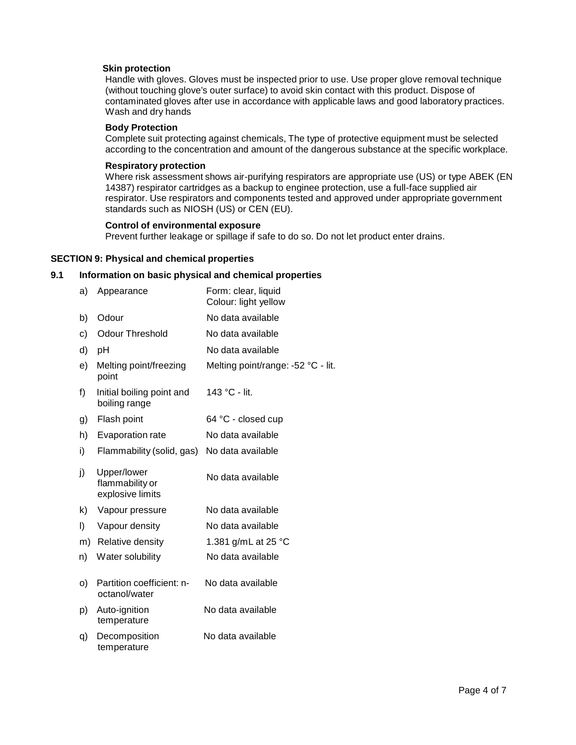# **Skin protection**

Handle with gloves. Gloves must be inspected prior to use. Use proper glove removal technique (without touching glove's outer surface) to avoid skin contact with this product. Dispose of contaminated gloves after use in accordance with applicable laws and good laboratory practices. Wash and dry hands

#### **Body Protection**

Complete suit protecting against chemicals, The type of protective equipment must be selected according to the concentration and amount of the dangerous substance at the specific workplace.

#### **Respiratory protection**

Where risk assessment shows air-purifying respirators are appropriate use (US) or type ABEK (EN 14387) respirator cartridges as a backup to enginee protection, use a full-face supplied air respirator. Use respirators and components tested and approved under appropriate government standards such as NIOSH (US) or CEN (EU).

#### **Control of environmental exposure**

Prevent further leakage or spillage if safe to do so. Do not let product enter drains.

#### **SECTION 9: Physical and chemical properties**

#### **9.1 Information on basic physical and chemical properties**

| a)       | Appearance                                         | Form: clear, liquid<br>Colour: light yellow |
|----------|----------------------------------------------------|---------------------------------------------|
| b)       | Odour                                              | No data available                           |
| c)       | <b>Odour Threshold</b>                             | No data available                           |
| d)       | pH                                                 | No data available                           |
| e)       | Melting point/freezing<br>point                    | Melting point/range: -52 °C - lit.          |
| f)       | Initial boiling point and<br>boiling range         | 143 °C - lit.                               |
| g)       | Flash point                                        | 64 °C - closed cup                          |
| h)       | Evaporation rate                                   | No data available                           |
| i)       | Flammability (solid, gas)                          | No data available                           |
| j)       | Upper/lower<br>flammability or<br>explosive limits | No data available                           |
| k)       | Vapour pressure                                    | No data available                           |
| I)       | Vapour density                                     | No data available                           |
| m)       | Relative density                                   | 1.381 g/mL at 25 °C                         |
| n)       | Water solubility                                   | No data available                           |
| $\circ)$ | Partition coefficient: n-<br>octanol/water         | No data available                           |
| p)       | Auto-ignition<br>temperature                       | No data available                           |
| q)       | Decomposition<br>temperature                       | No data available                           |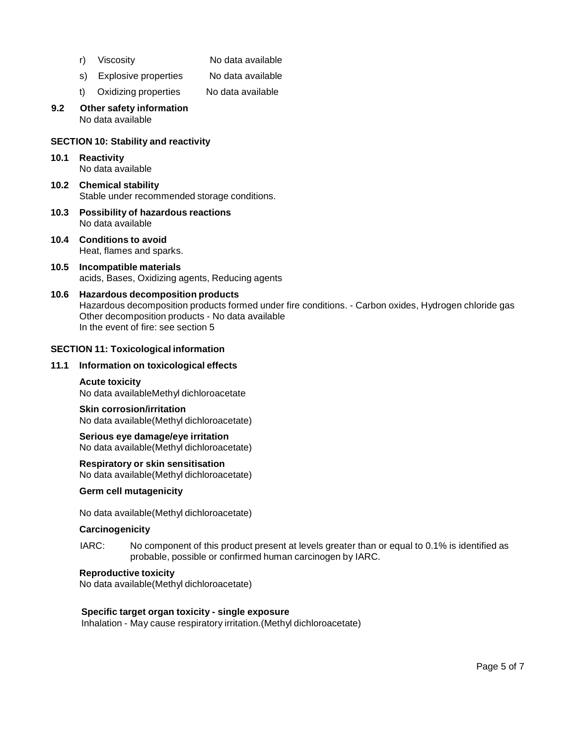- r) Viscosity No data available
- s) Explosive properties No data available
- t) Oxidizing properties No data available

#### **9.2 Other safety information** No data available

# **SECTION 10: Stability and reactivity**

# **10.1 Reactivity**

No data available

- **10.2 Chemical stability** Stable under recommended storage conditions.
- **10.3 Possibility of hazardous reactions** No data available
- **10.4 Conditions to avoid** Heat, flames and sparks.
- **10.5 Incompatible materials** acids, Bases, Oxidizing agents, Reducing agents
- **10.6 Hazardous decomposition products** Hazardous decomposition products formed under fire conditions. - Carbon oxides, Hydrogen chloride gas Other decomposition products - No data available In the event of fire: see section 5

# **SECTION 11: Toxicological information**

#### **11.1 Information on toxicological effects**

# **Acute toxicity**

No data availableMethyl dichloroacetate

#### **Skin corrosion/irritation** No data available(Methyl dichloroacetate)

**Serious eye damage/eye irritation** No data available(Methyl dichloroacetate)

#### **Respiratory orskin sensitisation**

No data available(Methyl dichloroacetate)

# **Germ cell mutagenicity**

No data available(Methyl dichloroacetate)

# **Carcinogenicity**

IARC: No component of this product present at levels greater than or equal to 0.1% is identified as probable, possible or confirmed human carcinogen by IARC.

#### **Reproductive toxicity**

No data available(Methyl dichloroacetate)

# **Specific target organ toxicity - single exposure**

Inhalation - May cause respiratory irritation.(Methyl dichloroacetate)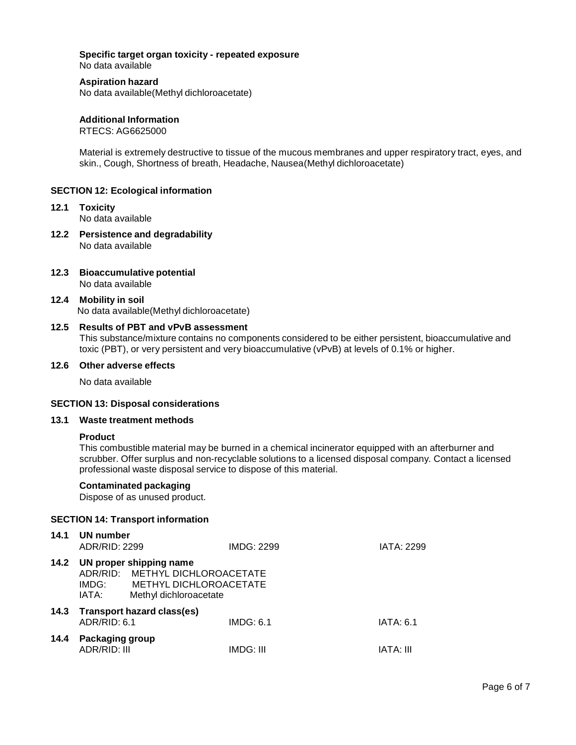## **Specific target organ toxicity - repeated exposure**

No data available

#### **Aspiration hazard**

No data available(Methyl dichloroacetate)

# **Additional Information**

RTECS: AG6625000

Material is extremely destructive to tissue of the mucous membranes and upper respiratory tract, eyes, and skin., Cough, Shortness of breath, Headache, Nausea(Methyl dichloroacetate)

#### **SECTION 12: Ecological information**

- **12.1 Toxicity** No data available
- **12.2 Persistence and degradability** No data available
- **12.3 Bioaccumulative potential** No data available
- **12.4 Mobility in soil** No data available(Methyl dichloroacetate)

#### **12.5 Results of PBT and vPvB assessment**

This substance/mixture contains no components considered to be either persistent, bioaccumulative and toxic (PBT), or very persistent and very bioaccumulative (vPvB) at levels of 0.1% or higher.

#### **12.6 Other adverse effects**

No data available

# **SECTION 13: Disposal considerations**

#### **13.1 Waste treatment methods**

#### **Product**

This combustible material may be burned in a chemical incinerator equipped with an afterburner and scrubber. Offer surplus and non-recyclable solutions to a licensed disposal company. Contact a licensed professional waste disposal service to dispose of this material.

## **Contaminated packaging**

Dispose of as unused product.

### **SECTION 14: Transport information**

|                |                        | IMDG: 2299                                                                                                                             | IATA: 2299                                                |
|----------------|------------------------|----------------------------------------------------------------------------------------------------------------------------------------|-----------------------------------------------------------|
| IMDG:<br>IATA: | Methyl dichloroacetate |                                                                                                                                        |                                                           |
|                |                        | IMDG: 6.1                                                                                                                              | <b>IATA: 6.1</b>                                          |
|                |                        | IMDG: III                                                                                                                              | IATA: III                                                 |
|                |                        | UN number<br>ADR/RID: 2299<br>UN proper shipping name<br>Transport hazard class(es)<br>ADR/RID: 6.1<br>Packaging group<br>ADR/RID: III | ADR/RID: METHYL DICHLOROACETATE<br>METHYL DICHLOROACETATE |